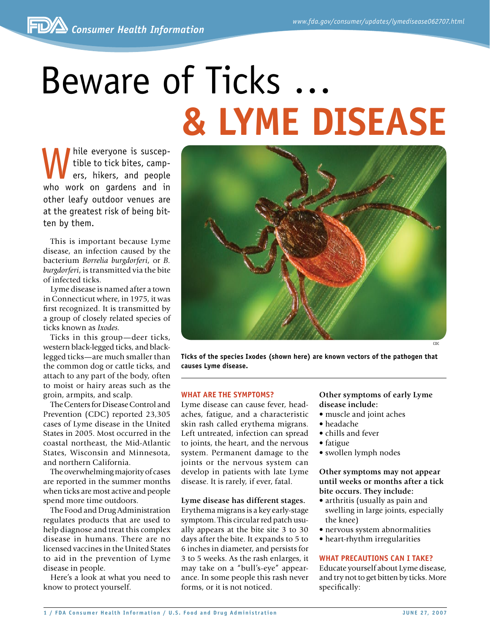# Beware of Ticks … **& Lyme Disease**

While everyone is suscep-<br>tible to tick bites, camp-<br>ers, hikers, and people<br>who work on gardons and in tible to tick bites, campers, hikers, and people who work on gardens and in other leafy outdoor venues are at the greatest risk of being bitten by them.

This is important because Lyme disease, an infection caused by the bacterium *Borrelia burgdorferi*, or *B. burgdorferi*, is transmitted via the bite of infected ticks.

Lyme disease is named after a town in Connecticut where, in 1975, it was first recognized. It is transmitted by a group of closely related species of ticks known as *Ixodes.*

Ticks in this group—deer ticks, western black-legged ticks, and blacklegged ticks—are much smaller than the common dog or cattle ticks, and attach to any part of the body, often to moist or hairy areas such as the groin, armpits, and scalp.

The Centers for Disease Control and Prevention (CDC) reported 23,305 cases of Lyme disease in the United States in 2005. Most occurred in the coastal northeast, the Mid-Atlantic States, Wisconsin and Minnesota, and northern California.

The overwhelming majority of cases are reported in the summer months when ticks are most active and people spend more time outdoors.

The Food and Drug Administration regulates products that are used to help diagnose and treat this complex disease in humans. There are no licensed vaccines in the United States to aid in the prevention of Lyme disease in people.

Here's a look at what you need to know to protect yourself.



**Ticks of the species Ixodes (shown here) are known vectors of the pathogen that causes Lyme disease.**

#### **What are the symptoms?**

Lyme disease can cause fever, headaches, fatigue, and a characteristic skin rash called erythema migrans. Left untreated, infection can spread to joints, the heart, and the nervous system. Permanent damage to the joints or the nervous system can develop in patients with late Lyme disease. It is rarely, if ever, fatal.

#### **Lyme disease has different stages.**

Erythema migrans is a key early-stage symptom. This circular red patch usually appears at the bite site 3 to 30 days after the bite. It expands to 5 to 6 inches in diameter, and persists for 3 to 5 weeks. As the rash enlarges, it may take on a "bull's-eye" appearance. In some people this rash never forms, or it is not noticed.

# **Other symptoms of early Lyme disease include:**

- muscle and joint aches
- headache
- chills and fever
- fatigue
- swollen lymph nodes

# **Other symptoms may not appear until weeks or months after a tick bite occurs. They include:**

- arthritis (usually as pain and swelling in large joints, especially the knee)
- nervous system abnormalities
- heart-rhythm irregularities

#### **What precautions can I take?**

Educate yourself about Lyme disease, and try not to get bitten by ticks. More specifically: